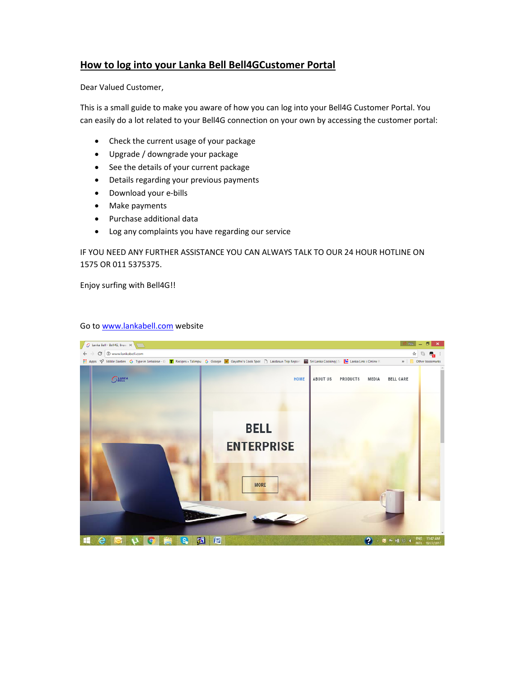## **How to log into your Lanka Bell Bell4GCustomer Portal**

Dear Valued Customer,

This is a small guide to make you aware of how you can log into your Bell4G Customer Portal. You can easily do a lot related to your Bell4G connection on your own by accessing the customer portal:

- Check the current usage of your package
- Upgrade / downgrade your package
- See the details of your current package
- Details regarding your previous payments
- Download your e-bills
- Make payments
- Purchase additional data
- Log any complaints you have regarding our service

IF YOU NEED ANY FURTHER ASSISTANCE YOU CAN ALWAYS TALK TO OUR 24 HOUR HOTLINE ON 1575 OR 011 5375375.

Enjoy surfing with Bell4G!!

## Go to www.lankabell.com website

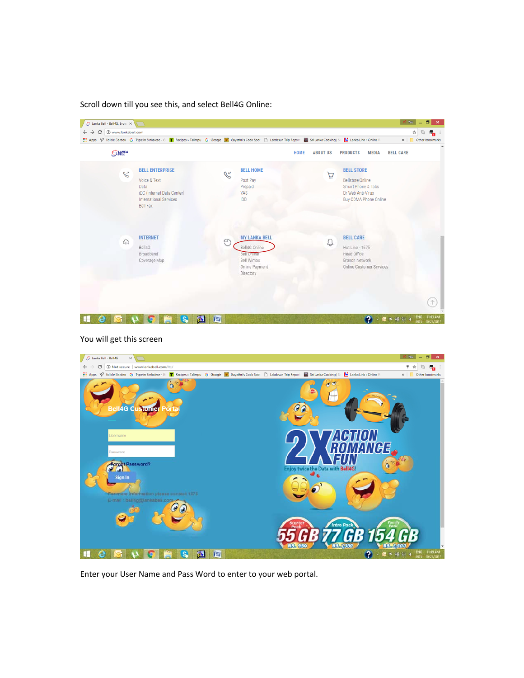Scroll down till you see this, and select Bell4G Online:



## You will get this screen



Enter your User Name and Pass Word to enter to your web portal.